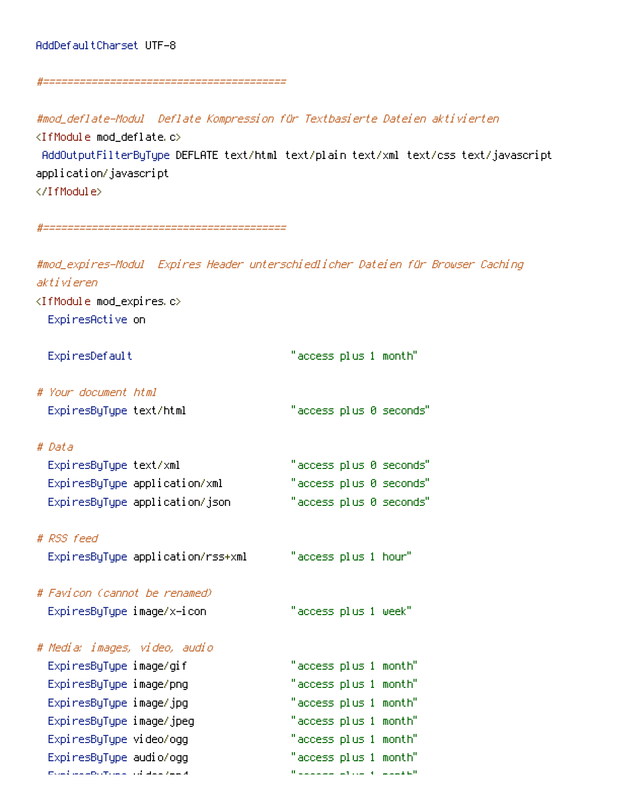## AddDefaultCharset UTF-8

## #========================================

#mod\_deflate-Modul Deflate Kompression für Textbasierte Dateien aktivierten <IfModule mod\_deflate.c> AddOutputFilterByType DEFLATE text/html text/plain text/xml text/css text/javascript application/javascript </IfModule>

#========================================

#mod\_expires-Modul Expires Header unterschiedlicher Dateien für Browser Caching aktivieren <IfModule mod\_expires.c> ExpiresActive on ExpiresDefault "access plus 1 month"

- # Your document html ExpiresByType text/html "access plus 0 seconds"
- # Data

| ExpiresByType text/xml         | "access plus 0 seconds" |
|--------------------------------|-------------------------|
| ExpiresByType application/xml  | "access plus 0 seconds" |
| ExpiresByType application/json | "access plus 0 seconds" |

# RSS feed

ExpiresByType application/rss+xml "access plus 1 hour"

# Favicon (cannot be renamed) ExpiresByType image/x-icon "access plus 1 week"

| Media: images, video, audio                                                                         |                                                                                                                                                                                                                                |
|-----------------------------------------------------------------------------------------------------|--------------------------------------------------------------------------------------------------------------------------------------------------------------------------------------------------------------------------------|
| ExpiresByType image/gif                                                                             | "access plus 1 month"                                                                                                                                                                                                          |
| ExpiresByType image/png                                                                             | "access plus 1 month"                                                                                                                                                                                                          |
| ExpiresByType image/jpg                                                                             | "access plus 1 month"                                                                                                                                                                                                          |
| ExpiresByType image/jpeg                                                                            | "access plus 1 month"                                                                                                                                                                                                          |
| ExpiresByType video/ogg                                                                             | "access plus 1 month"                                                                                                                                                                                                          |
| Expi resByType audio/ogg                                                                            | "access plus 1 month"                                                                                                                                                                                                          |
| $\Gamma$ and $\Gamma$ and $\Gamma$ and $\Gamma$ and $\Gamma$ and $\Gamma$ and $\Gamma$ and $\Gamma$ | We are a manager of the complete that the three contracts of the contract of the contracts of the contracts of the contracts of the contracts of the contracts of the contracts of the contracts of the contracts of the contr |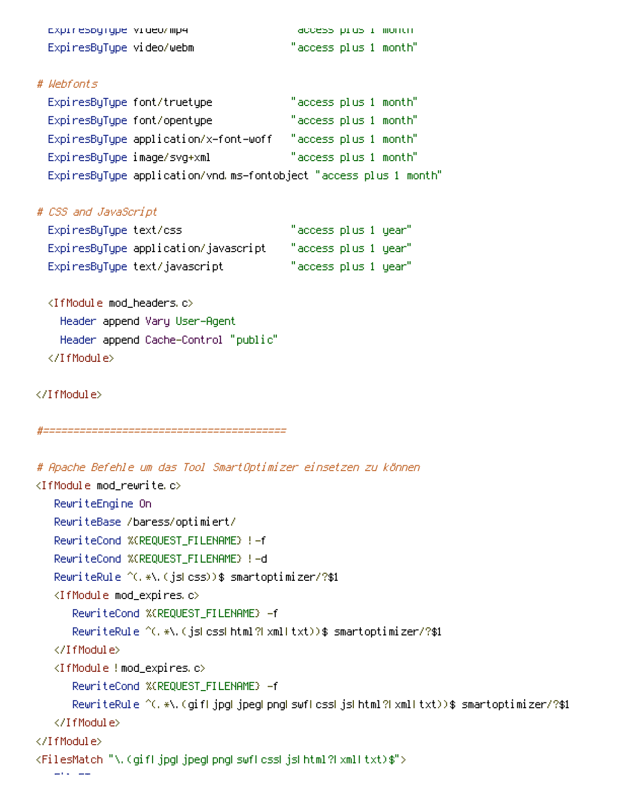| cxprrespyrype video/mp4  | access prus r montn   |
|--------------------------|-----------------------|
| ExpiresByType video/webm | "access plus 1 month" |

## # Webfonts

|                             | ExpiresByType font/truetype                                       | "access plus 1 month" |
|-----------------------------|-------------------------------------------------------------------|-----------------------|
|                             | ExpiresByType font/opentype                                       | "access plus 1 month" |
|                             | ExpiresByType application/x-font-woff                             | "access plus 1 month" |
| ExpiresByType image/svg+xml |                                                                   | "access plus 1 month" |
|                             | ExpiresByType application/vnd.ms-fontobject "access plus 1 month" |                       |

# CSS and JavaScript

| ExpiresByType text/css |                                      | "access plus 1 year" |  |
|------------------------|--------------------------------------|----------------------|--|
|                        | ExpiresByType application/javascript | "access plus 1 year" |  |
|                        | ExpiresByType text/javascript        | "access plus 1 year" |  |

<IfModule mod\_headers.c> Header append Vary User-Agent Header append Cache-Control "public" </IfModule>

## </IfModule>

```
#========================================
```

```
# Apache Befehle um das Tool SmartOptimizer einsetzen zu können
<IfModule mod_rewrite.c>
   RewriteEngine On
   RewriteBase /baress/optimiert/
   RewriteCond %{REQUEST_FILENAME} !-f
   RewriteCond %{REQUEST_FILENAME} !-d
   RewriteRule ^(.*\.(js|css))$ smartoptimizer/?$1
   <IfModule mod_expires.c>
      RewriteCond %{REQUEST_FILENAME} -f
      RewriteRule ^(.*\.(js|css|html?|xml|txt))$ smartoptimizer/?$1
   </IfModule>
   <IfModule !mod_expires.c>
      RewriteCond %{REQUEST_FILENAME} -f
      RewriteRule ^(.*\.(gif|jpg|jpeg|png|swf|css|js|html?|xml|txt))$ smartoptimizer/?$1
   </IfModule>
</IfModule>
<FilesMatch "\.(gif|jpg|jpeg|png|swf|css|js|html?|xml|txt)$">
   FileETag none
```